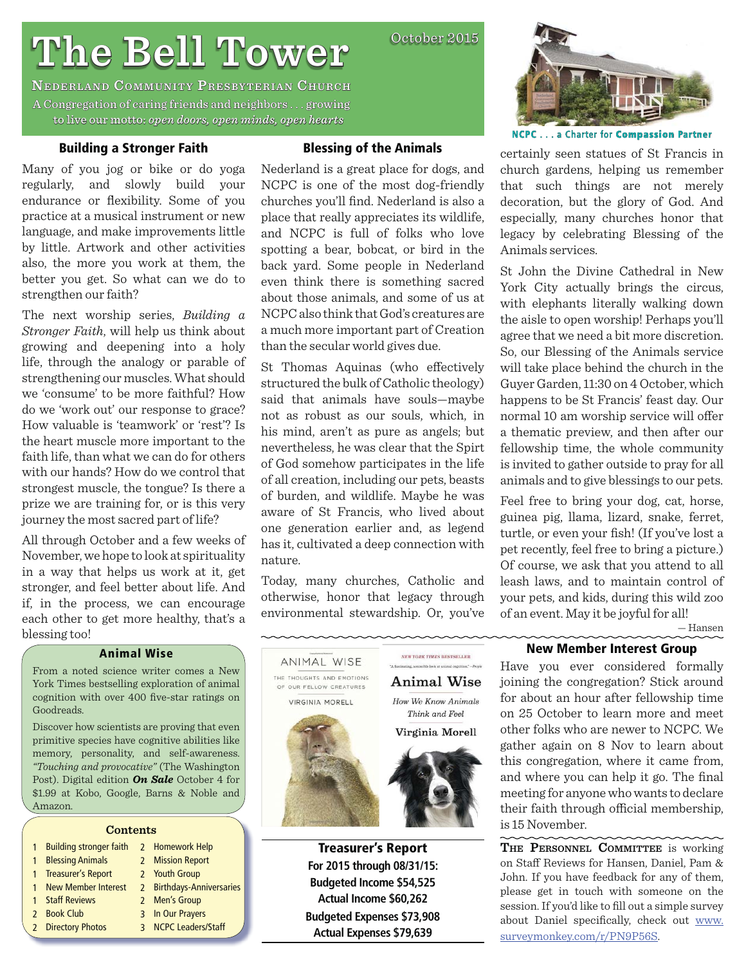# **The Bell Tower he**

**NEDERLAND COMMUNITY PRESBYTERIAN CHURCH** A Congregation of caring friends and neighbors . . . growing to live our motto: *open doors, open minds, open hearts* 

#### **Building a Stronger Faith**

Many of you jog or bike or do yoga regularly, and slowly build your endurance or flexibility. Some of you practice at a musical instrument or new language, and make improvements little by little. Artwork and other activities also, the more you work at them, the better you get. So what can we do to strengthen our faith?

The next worship series, *Building a Stronger Faith*, will help us think about growing and deepening into a holy life, through the analogy or parable of strengthening our muscles. What should we 'consume' to be more faithful? How do we 'work out' our response to grace? How valuable is 'teamwork' or 'rest'? Is the heart muscle more important to the faith life, than what we can do for others with our hands? How do we control that strongest muscle, the tongue? Is there a prize we are training for, or is this very journey the most sacred part of life?

All through October and a few weeks of November, we hope to look at spirituality in a way that helps us work at it, get stronger, and feel better about life. And if, in the process, we can encourage each other to get more healthy, that's a blessing too!

#### **Animal Wise**

From a noted science writer comes a New York Times bestselling exploration of animal cognition with over 400 five-star ratings on Goodreads.

Discover how scientists are proving that even primitive species have cognitive abilities like memory, personality, and self-awareness. *"Touching and provocative"* (The Washington Post). Digital edition *On Sale* October 4 for \$1.99 at Kobo, Google, Barns & Noble and Amazon.

#### **Contents**

| 1 Building stronger faith | 2 Homework Help           |
|---------------------------|---------------------------|
| 1 Blessing Animals        | 2 Mission Report          |
| 1 Treasurer's Report      | 2 Youth Group             |
| 1 New Member Interest     | 2 Birthdays-Anniversaries |
| 1 Staff Reviews           | 2 Men's Group             |
| 2 Book Club               | 3 In Our Prayers          |
| 2 Directory Photos        | 3 NCPC Leaders/Staff      |
|                           |                           |

#### **Blessing of the Animals**

October 2015

Nederland is a great place for dogs, and NCPC is one of the most dog-friendly churches you'll find. Nederland is also a place that really appreciates its wildlife, and NCPC is full of folks who love spotting a bear, bobcat, or bird in the back yard. Some people in Nederland even think there is something sacred about those animals, and some of us at NCPC also think that God's creatures are a much more important part of Creation than the secular world gives due.

St Thomas Aquinas (who effectively structured the bulk of Catholic theology) said that animals have souls—maybe not as robust as our souls, which, in his mind, aren't as pure as angels; but nevertheless, he was clear that the Spirt of God somehow participates in the life of all creation, including our pets, beasts of burden, and wildlife. Maybe he was aware of St Francis, who lived about one generation earlier and, as legend has it, cultivated a deep connection with nature.

Today, many churches, Catholic and otherwise, honor that legacy through environmental stewardship. Or, you've

ANIMAL WISE

NEW YORK TIMES BESTSELLER



**NCPC**. . . a Charter for **Compassion ompassionPartner**

certainly seen statues of St Francis in church gardens, helping us remember that such things are not merely decoration, but the glory of God. And especially, many churches honor that legacy by celebrating Blessing of the Animals services.

St John the Divine Cathedral in New York City actually brings the circus, with elephants literally walking down the aisle to open worship! Perhaps you'll agree that we need a bit more discretion. So, our Blessing of the Animals service will take place behind the church in the Guyer Garden, 11:30 on 4 October, which happens to be St Francis' feast day. Our normal 10 am worship service will offer a thematic preview, and then after our fellowship time, the whole community is invited to gather outside to pray for all animals and to give blessings to our pets.

Feel free to bring your dog, cat, horse, guinea pig, llama, lizard, snake, ferret, turtle, or even your fish! (If you've lost a pet recently, feel free to bring a picture.) Of course, we ask that you attend to all leash laws, and to maintain control of your pets, and kids, during this wild zoo of an event. May it be joyful for all!

— Hansen

THE THOUGHTS AND EMOTIONS **Animal Wise** OF OUR FELLOW CREATURES VIRGINIA MORELL How We Know Animals Think and Feel Virginia Morell

> **Treasurer's Report For 2015 through 08/31/15: Budgeted Income \$54,525 Actual Income \$60,262 Budgeted Expenses \$73,908 Actual Expenses \$79,639**

#### **New Member Interest Group**

Have you ever considered formally joining the congregation? Stick around for about an hour after fellowship time on 25 October to learn more and meet other folks who are newer to NCPC. We gather again on 8 Nov to learn about this congregation, where it came from, and where you can help it go. The final meeting for anyone who wants to declare their faith through official membership, is 15 November.

**THE PERSONNEL COMMITTEE** is working on Staff Reviews for Hansen, Daniel, Pam & John. If you have feedback for any of them, please get in touch with someone on the session. If you'd like to fill out a simple survey about Daniel specifically, check out www. surveymonkey.com/r/PN9P56S.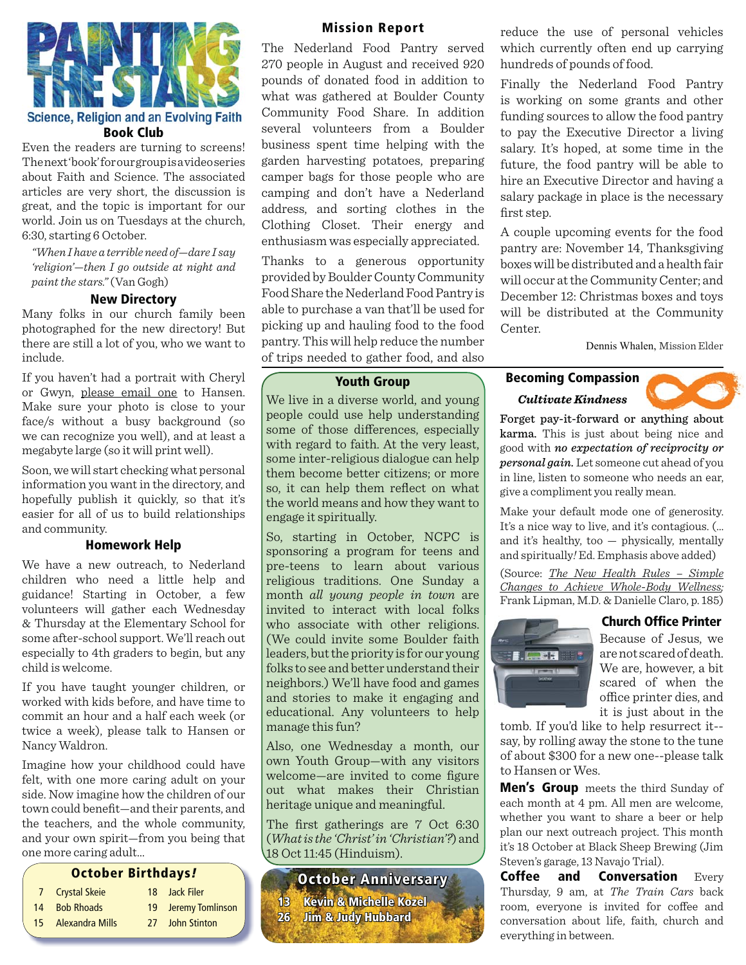

# Science, Religion and an Evolving Faith **Book Club**

Even the readers are turning to screens! The next 'book' for our group is a video series about Faith and Science. The associated articles are very short, the discussion is great, and the topic is important for our world. Join us on Tuesdays at the church, 6:30, starting 6 October.

*"When I have a terrible need of—dare I say 'religion'—then I go outside at night and paint the stars."* (Van Gogh)

#### **New Directory**

Many folks in our church family been photographed for the new directory! But there are still a lot of you, who we want to include.

If you haven't had a portrait with Cheryl or Gwyn, please email one to Hansen. Make sure your photo is close to your face/s without a busy background (so we can recognize you well), and at least a megabyte large (so it will print well).

Soon, we will start checking what personal information you want in the directory, and hopefully publish it quickly, so that it's easier for all of us to build relationships and community.

#### **Homework Help**

We have a new outreach, to Nederland children who need a little help and guidance! Starting in October, a few volunteers will gather each Wednesday & Thursday at the Elementary School for some after-school support. We'll reach out especially to 4th graders to begin, but any child is welcome.

If you have taught younger children, or worked with kids before, and have time to commit an hour and a half each week (or twice a week), please talk to Hansen or Nancy Waldron.

Imagine how your childhood could have felt, with one more caring adult on your side. Now imagine how the children of our town could benefit—and their parents, and the teachers, and the whole community, and your own spirit—from you being that one more caring adult…

#### **October Birthdays***!*

- 7 Crystal Skeie 18 Jack Filer
- 14 Bob Rhoads 19 Jeremy Tomlinson
- 15 Alexandra Mills 27 John Stinton

#### **Mission Report**

The Nederland Food Pantry served 270 people in August and received 920 pounds of donated food in addition to what was gathered at Boulder County Community Food Share. In addition several volunteers from a Boulder business spent time helping with the garden harvesting potatoes, preparing camper bags for those people who are camping and don't have a Nederland address, and sorting clothes in the Clothing Closet. Their energy and enthusiasm was especially appreciated.

Thanks to a generous opportunity provided by Boulder County Community Food Share the Nederland Food Pantry is able to purchase a van that'll be used for picking up and hauling food to the food pantry. This will help reduce the number of trips needed to gather food, and also

### **Youth Group**

We live in a diverse world, and young people could use help understanding some of those differences, especially with regard to faith. At the very least, some inter-religious dialogue can help them become better citizens; or more so, it can help them reflect on what the world means and how they want to engage it spiritually.

So, starting in October, NCPC is sponsoring a program for teens and pre-teens to learn about various religious traditions. One Sunday a month *all young people in town* are invited to interact with local folks who associate with other religions. (We could invite some Boulder faith leaders, but the priority is for our young folks to see and better understand their neighbors.) We'll have food and games and stories to make it engaging and educational. Any volunteers to help manage this fun?

Also, one Wednesday a month, our own Youth Group—with any visitors welcome—are invited to come figure out what makes their Christian heritage unique and meaningful.

The first gatherings are  $7$  Oct  $6:30$ (*What is the 'Christ' in 'Christian'?*) and 18 Oct 11:45 (Hinduism).

**October Anniversary 13 Kevin & Michelle Kozel evin 26 Jim & Judy Hubbard im** 

reduce the use of personal vehicles which currently often end up carrying hundreds of pounds of food.

Finally the Nederland Food Pantry is working on some grants and other funding sources to allow the food pantry to pay the Executive Director a living salary. It's hoped, at some time in the future, the food pantry will be able to hire an Executive Director and having a salary package in place is the necessary first step.

A couple upcoming events for the food pantry are: November 14, Thanksgiving boxes will be distributed and a health fair will occur at the Community Center; and December 12: Christmas boxes and toys will be distributed at the Community Center.

Dennis Whalen, Mission Elder

# *Cultivate Kindness* **Becoming Compassion**

Forget pay-it-forward or anything about karma. This is just about being nice and good with *no expectation of reciprocity or personal gain.* Let someone cut ahead of you in line, listen to someone who needs an ear, give a compliment you really mean.

Make your default mode one of generosity. It's a nice way to live, and it's contagious. (… and it's healthy, too — physically, mentally and spiritually*!* Ed. Emphasis above added)

(Source: *The New Health Rules – Simple Changes to Achieve Whole-Body Wellness;*  Frank Lipman, M.D. & Danielle Claro, p. 185)

#### **Church Office Printer**



Because of Jesus, we are not scared of death. We are, however, a bit scared of when the office printer dies, and it is just about in the

tomb. If you'd like to help resurrect it- say, by rolling away the stone to the tune of about \$300 for a new one--please talk to Hansen or Wes.

**Men's Group** meets the third Sunday of each month at 4 pm. All men are welcome, whether you want to share a beer or help plan our next outreach project. This month it's 18 October at Black Sheep Brewing (Jim Steven's garage, 13 Navajo Trial).

**Coffee and Conversation** Every Thursday, 9 am, at *The Train Cars* back room, everyone is invited for coffee and conversation about life, faith, church and everything in between.